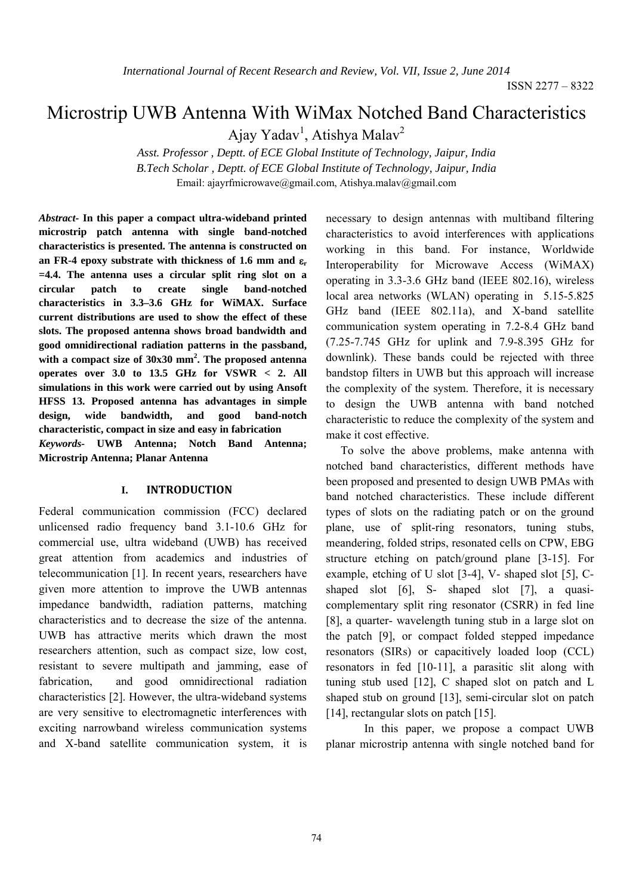# Microstrip UWB Antenna With WiMax Notched Band Characteristics

Ajay Yadav<sup>1</sup>, Atishya Malav<sup>2</sup>

*Asst. Professor , Deptt. of ECE Global Institute of Technology, Jaipur, India B.Tech Scholar , Deptt. of ECE Global Institute of Technology, Jaipur, India*  Email: ajayrfmicrowave@gmail.com, Atishya.malav@gmail.com

*Abstract-* **In this paper a compact ultra-wideband printed microstrip patch antenna with single band-notched characteristics is presented. The antenna is constructed on an FR-4 epoxy substrate with thickness of 1.6 mm and** ε**<sup>r</sup> =4.4. The antenna uses a circular split ring slot on a circular patch to create single band-notched characteristics in 3.3–3.6 GHz for WiMAX. Surface current distributions are used to show the effect of these slots. The proposed antenna shows broad bandwidth and good omnidirectional radiation patterns in the passband, with a compact size of 30x30 mm2 . The proposed antenna operates over 3.0 to 13.5 GHz for VSWR < 2. All simulations in this work were carried out by using Ansoft HFSS 13. Proposed antenna has advantages in simple design, wide bandwidth, and good band-notch characteristic, compact in size and easy in fabrication**  *Keywords-* **UWB Antenna; Notch Band Antenna; Microstrip Antenna; Planar Antenna** 

### **I. INTRODUCTION**

Federal communication commission (FCC) declared unlicensed radio frequency band 3.1-10.6 GHz for commercial use, ultra wideband (UWB) has received great attention from academics and industries of telecommunication [1]. In recent years, researchers have given more attention to improve the UWB antennas impedance bandwidth, radiation patterns, matching characteristics and to decrease the size of the antenna. UWB has attractive merits which drawn the most researchers attention, such as compact size, low cost, resistant to severe multipath and jamming, ease of fabrication, and good omnidirectional radiation characteristics [2]. However, the ultra-wideband systems are very sensitive to electromagnetic interferences with exciting narrowband wireless communication systems and X-band satellite communication system, it is

necessary to design antennas with multiband filtering characteristics to avoid interferences with applications working in this band. For instance, Worldwide Interoperability for Microwave Access (WiMAX) operating in 3.3-3.6 GHz band (IEEE 802.16), wireless local area networks (WLAN) operating in 5.15-5.825 GHz band (IEEE 802.11a), and X-band satellite communication system operating in 7.2-8.4 GHz band (7.25-7.745 GHz for uplink and 7.9-8.395 GHz for downlink). These bands could be rejected with three bandstop filters in UWB but this approach will increase the complexity of the system. Therefore, it is necessary to design the UWB antenna with band notched characteristic to reduce the complexity of the system and make it cost effective.

 To solve the above problems, make antenna with notched band characteristics, different methods have been proposed and presented to design UWB PMAs with band notched characteristics. These include different types of slots on the radiating patch or on the ground plane, use of split-ring resonators, tuning stubs, meandering, folded strips, resonated cells on CPW, EBG structure etching on patch/ground plane [3-15]. For example, etching of U slot [3-4], V- shaped slot [5], Cshaped slot [6], S- shaped slot [7], a quasicomplementary split ring resonator (CSRR) in fed line [8], a quarter- wavelength tuning stub in a large slot on the patch [9], or compact folded stepped impedance resonators (SIRs) or capacitively loaded loop (CCL) resonators in fed [10-11], a parasitic slit along with tuning stub used [12], C shaped slot on patch and L shaped stub on ground [13], semi-circular slot on patch [14], rectangular slots on patch [15].

In this paper, we propose a compact UWB planar microstrip antenna with single notched band for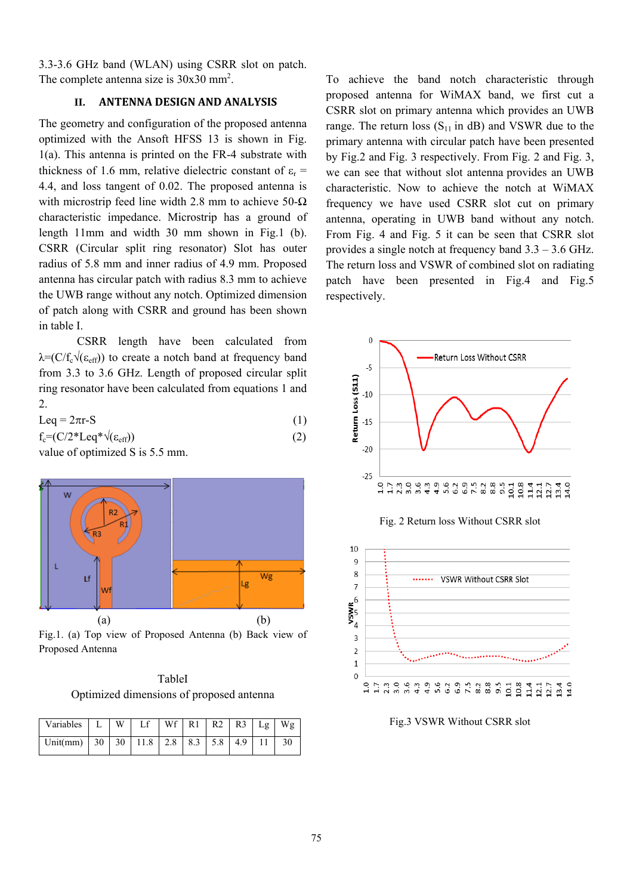3.3-3.6 GHz band (WLAN) using CSRR slot on patch. The complete antenna size is  $30x30$  mm<sup>2</sup>.

## **II. ANTENNA DESIGN AND ANALYSIS**

The geometry and configuration of the proposed antenna optimized with the Ansoft HFSS 13 is shown in Fig. 1(a). This antenna is printed on the FR-4 substrate with thickness of 1.6 mm, relative dielectric constant of  $\varepsilon_r$  = 4.4, and loss tangent of 0.02. The proposed antenna is with microstrip feed line width 2.8 mm to achieve 50- $\Omega$ characteristic impedance. Microstrip has a ground of length 11mm and width 30 mm shown in Fig.1 (b). CSRR (Circular split ring resonator) Slot has outer radius of 5.8 mm and inner radius of 4.9 mm. Proposed antenna has circular patch with radius 8.3 mm to achieve the UWB range without any notch. Optimized dimension of patch along with CSRR and ground has been shown in table I.

CSRR length have been calculated from  $\lambda = (C/f_c\sqrt{(\epsilon_{eff}))}$  to create a notch band at frequency band from 3.3 to 3.6 GHz. Length of proposed circular split ring resonator have been calculated from equations 1 and 2.

| Leq = $2\pi r-S$ | (1) |  |  |
|------------------|-----|--|--|
|------------------|-----|--|--|

 $f_c = (C/2 * Leg * \sqrt{(\epsilon_{eff})})$  (2)





Fig.1. (a) Top view of Proposed Antenna (b) Back view of Proposed Antenna

TableI Optimized dimensions of proposed antenna

| Variables   L   W   Lf   Wf   R1   R2   R3   Lg   Wg        |  |  |  |  |  |
|-------------------------------------------------------------|--|--|--|--|--|
| Unit(mm)   30   30   11.8   2.8   8.3   5.8   4.9   11   30 |  |  |  |  |  |

To achieve the band notch characteristic through proposed antenna for WiMAX band, we first cut a CSRR slot on primary antenna which provides an UWB range. The return loss  $(S_{11}$  in dB) and VSWR due to the primary antenna with circular patch have been presented by Fig.2 and Fig. 3 respectively. From Fig. 2 and Fig. 3, we can see that without slot antenna provides an UWB characteristic. Now to achieve the notch at WiMAX frequency we have used CSRR slot cut on primary antenna, operating in UWB band without any notch. From Fig. 4 and Fig. 5 it can be seen that CSRR slot provides a single notch at frequency band 3.3 – 3.6 GHz. The return loss and VSWR of combined slot on radiating patch have been presented in Fig.4 and Fig.5 respectively.



Fig. 2 Return loss Without CSRR slot



Fig.3 VSWR Without CSRR slot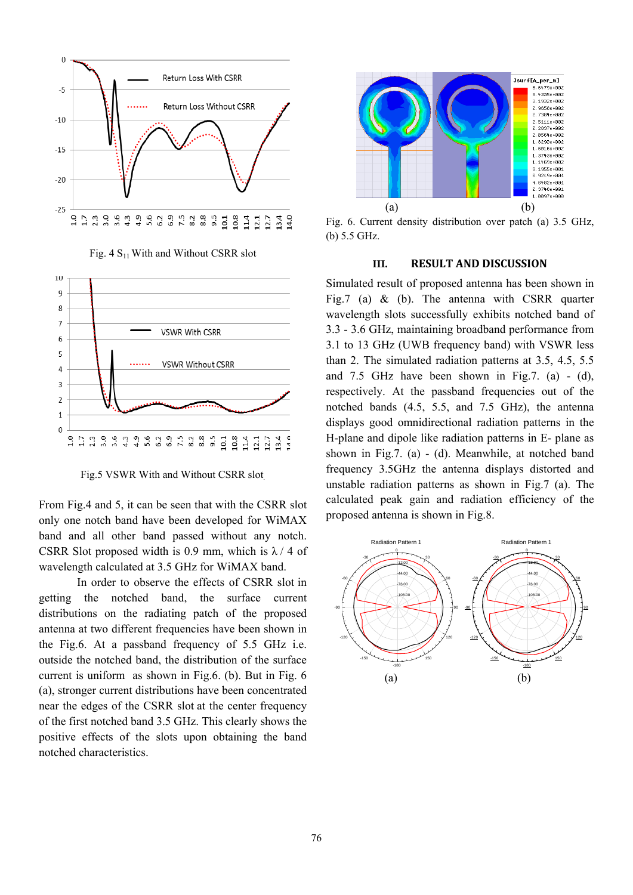

Fig. 4  $S<sub>11</sub>$  With and Without CSRR slot



Fig.5 VSWR With and Without CSRR slot.

From Fig.4 and 5, it can be seen that with the CSRR slot only one notch band have been developed for WiMAX band and all other band passed without any notch. CSRR Slot proposed width is 0.9 mm, which is  $\lambda$  / 4 of wavelength calculated at 3.5 GHz for WiMAX band.

In order to observe the effects of CSRR slot in getting the notched band, the surface current distributions on the radiating patch of the proposed antenna at two different frequencies have been shown in the Fig.6. At a passband frequency of 5.5 GHz i.e. outside the notched band, the distribution of the surface current is uniform as shown in Fig.6. (b). But in Fig. 6 (a), stronger current distributions have been concentrated near the edges of the CSRR slot at the center frequency of the first notched band 3.5 GHz. This clearly shows the positive effects of the slots upon obtaining the band notched characteristics.



Fig. 6. Current density distribution over patch (a) 3.5 GHz, (b) 5.5 GHz.

### **III. RESULT AND DISCUSSION**

Simulated result of proposed antenna has been shown in Fig.7 (a) & (b). The antenna with CSRR quarter wavelength slots successfully exhibits notched band of 3.3 - 3.6 GHz, maintaining broadband performance from 3.1 to 13 GHz (UWB frequency band) with VSWR less than 2. The simulated radiation patterns at 3.5, 4.5, 5.5 and  $7.5$  GHz have been shown in Fig.7. (a) - (d), respectively. At the passband frequencies out of the notched bands (4.5, 5.5, and 7.5 GHz), the antenna displays good omnidirectional radiation patterns in the H-plane and dipole like radiation patterns in E- plane as shown in Fig.7. (a) - (d). Meanwhile, at notched band frequency 3.5GHz the antenna displays distorted and unstable radiation patterns as shown in Fig.7 (a). The calculated peak gain and radiation efficiency of the proposed antenna is shown in Fig.8.